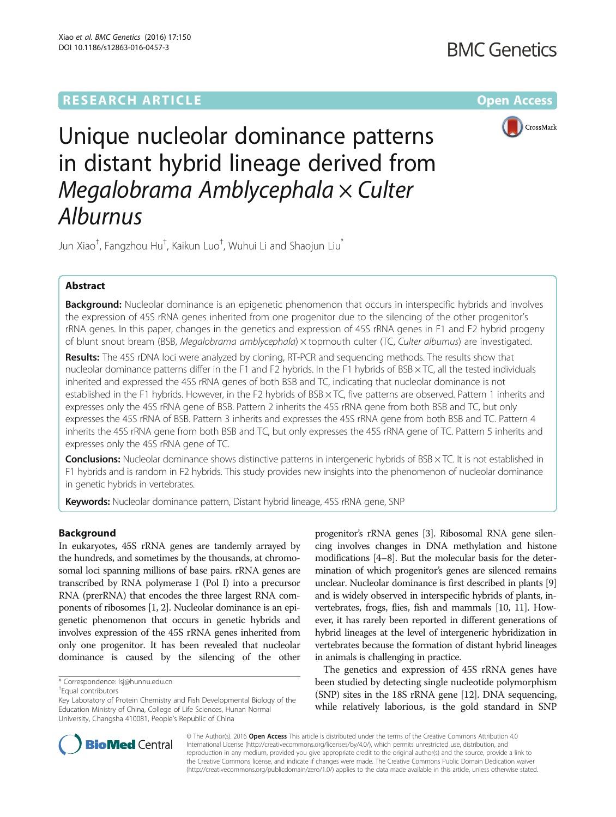# **RESEARCH ARTICLE External Structure Community Community Community Community Community Community Community Community**



Unique nucleolar dominance patterns in distant hybrid lineage derived from Megalobrama Amblycephala × Culter<br>Alburnus

Jun Xiao<sup>†</sup>, Fangzhou Hu<sup>†</sup>, Kaikun Luo<sup>†</sup>, Wuhui Li and Shaojun Liu<sup>\*</sup>

## Abstract

Background: Nucleolar dominance is an epigenetic phenomenon that occurs in interspecific hybrids and involves the expression of 45S rRNA genes inherited from one progenitor due to the silencing of the other progenitor's rRNA genes. In this paper, changes in the genetics and expression of 45S rRNA genes in F1 and F2 hybrid progeny of blunt snout bream (BSB, Megalobrama amblycephala) × topmouth culter (TC, Culter alburnus) are investigated.

Results: The 45S rDNA loci were analyzed by cloning, RT-PCR and sequencing methods. The results show that nucleolar dominance patterns differ in the F1 and F2 hybrids. In the F1 hybrids of BSB × TC, all the tested individuals inherited and expressed the 45S rRNA genes of both BSB and TC, indicating that nucleolar dominance is not established in the F1 hybrids. However, in the F2 hybrids of BSB × TC, five patterns are observed. Pattern 1 inherits and expresses only the 45S rRNA gene of BSB. Pattern 2 inherits the 45S rRNA gene from both BSB and TC, but only expresses the 45S rRNA of BSB. Pattern 3 inherits and expresses the 45S rRNA gene from both BSB and TC. Pattern 4 inherits the 45S rRNA gene from both BSB and TC, but only expresses the 45S rRNA gene of TC. Pattern 5 inherits and expresses only the 45S rRNA gene of TC.

**Conclusions:** Nucleolar dominance shows distinctive patterns in intergeneric hybrids of  $BSB \times TC$ . It is not established in F1 hybrids and is random in F2 hybrids. This study provides new insights into the phenomenon of nucleolar dominance in genetic hybrids in vertebrates.

Keywords: Nucleolar dominance pattern, Distant hybrid lineage, 45S rRNA gene, SNP

## Background

In eukaryotes, 45S rRNA genes are tandemly arrayed by the hundreds, and sometimes by the thousands, at chromosomal loci spanning millions of base pairs. rRNA genes are transcribed by RNA polymerase I (Pol I) into a precursor RNA (prerRNA) that encodes the three largest RNA components of ribosomes [\[1](#page-5-0), [2](#page-5-0)]. Nucleolar dominance is an epigenetic phenomenon that occurs in genetic hybrids and involves expression of the 45S rRNA genes inherited from only one progenitor. It has been revealed that nucleolar dominance is caused by the silencing of the other

progenitor's rRNA genes [[3](#page-5-0)]. Ribosomal RNA gene silencing involves changes in DNA methylation and histone modifications [\[4](#page-5-0)–[8](#page-5-0)]. But the molecular basis for the determination of which progenitor's genes are silenced remains unclear. Nucleolar dominance is first described in plants [[9](#page-5-0)] and is widely observed in interspecific hybrids of plants, invertebrates, frogs, flies, fish and mammals [\[10, 11\]](#page-5-0). However, it has rarely been reported in different generations of hybrid lineages at the level of intergeneric hybridization in vertebrates because the formation of distant hybrid lineages in animals is challenging in practice.

The genetics and expression of 45S rRNA genes have been studied by detecting single nucleotide polymorphism (SNP) sites in the 18S rRNA gene [[12](#page-5-0)]. DNA sequencing, while relatively laborious, is the gold standard in SNP



© The Author(s). 2016 Open Access This article is distributed under the terms of the Creative Commons Attribution 4.0 International License [\(http://creativecommons.org/licenses/by/4.0/](http://creativecommons.org/licenses/by/4.0/)), which permits unrestricted use, distribution, and reproduction in any medium, provided you give appropriate credit to the original author(s) and the source, provide a link to the Creative Commons license, and indicate if changes were made. The Creative Commons Public Domain Dedication waiver [\(http://creativecommons.org/publicdomain/zero/1.0/](http://creativecommons.org/publicdomain/zero/1.0/)) applies to the data made available in this article, unless otherwise stated.

<sup>\*</sup> Correspondence: [lsj@hunnu.edu.cn](mailto:lsj@hunnu.edu.cn) †

Equal contributors

Key Laboratory of Protein Chemistry and Fish Developmental Biology of the Education Ministry of China, College of Life Sciences, Hunan Normal University, Changsha 410081, People's Republic of China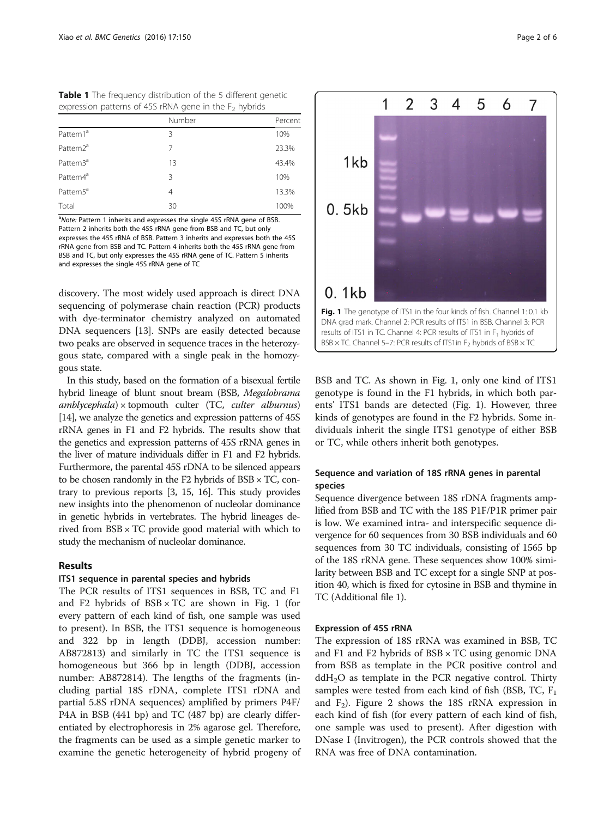<span id="page-1-0"></span>

| <b>Table 1</b> The frequency distribution of the 5 different genetic |  |  |
|----------------------------------------------------------------------|--|--|
| expression patterns of 45S rRNA gene in the $F2$ hybrids             |  |  |

|                       | Number         | Percent |
|-----------------------|----------------|---------|
| Pattern1 <sup>a</sup> | 3              | 10%     |
| Pattern2 <sup>a</sup> | 7              | 23.3%   |
| Pattern3 <sup>a</sup> | 13             | 43.4%   |
| Pattern4 <sup>a</sup> | 3              | 10%     |
| Pattern5 <sup>a</sup> | $\overline{4}$ | 13.3%   |
| Total                 | 30             | 100%    |

<sup>a</sup>Note: Pattern 1 inherits and expresses the single 45S rRNA gene of BSB.<br>Pattern 2 inherits both the 45S rRNA gene from BSB and TC, but only Pattern 2 inherits both the 45S rRNA gene from BSB and TC, but only expresses the 45S rRNA of BSB. Pattern 3 inherits and expresses both the 45S rRNA gene from BSB and TC. Pattern 4 inherits both the 45S rRNA gene from BSB and TC, but only expresses the 45S rRNA gene of TC. Pattern 5 inherits and expresses the single 45S rRNA gene of TC

discovery. The most widely used approach is direct DNA sequencing of polymerase chain reaction (PCR) products with dye-terminator chemistry analyzed on automated DNA sequencers [[13](#page-5-0)]. SNPs are easily detected because two peaks are observed in sequence traces in the heterozygous state, compared with a single peak in the homozygous state.

In this study, based on the formation of a bisexual fertile hybrid lineage of blunt snout bream (BSB, Megalobrama  $amblycephala$ ) × topmouth culter (TC, culter alburnus) [[14](#page-5-0)], we analyze the genetics and expression patterns of 45S rRNA genes in F1 and F2 hybrids. The results show that the genetics and expression patterns of 45S rRNA genes in the liver of mature individuals differ in F1 and F2 hybrids. Furthermore, the parental 45S rDNA to be silenced appears to be chosen randomly in the F2 hybrids of  $BSB \times TC$ , contrary to previous reports [[3](#page-5-0), [15](#page-5-0), [16\]](#page-5-0). This study provides new insights into the phenomenon of nucleolar dominance in genetic hybrids in vertebrates. The hybrid lineages derived from BSB × TC provide good material with which to study the mechanism of nucleolar dominance.

## Results

## ITS1 sequence in parental species and hybrids

The PCR results of ITS1 sequences in BSB, TC and F1 and F2 hybrids of  $BSB \times TC$  are shown in Fig. 1 (for every pattern of each kind of fish, one sample was used to present). In BSB, the ITS1 sequence is homogeneous and 322 bp in length (DDBJ, accession number: AB872813) and similarly in TC the ITS1 sequence is homogeneous but 366 bp in length (DDBJ, accession number: AB872814). The lengths of the fragments (including partial 18S rDNA, complete ITS1 rDNA and partial 5.8S rDNA sequences) amplified by primers P4F/ P4A in BSB (441 bp) and TC (487 bp) are clearly differentiated by electrophoresis in 2% agarose gel. Therefore, the fragments can be used as a simple genetic marker to examine the genetic heterogeneity of hybrid progeny of



BSB and TC. As shown in Fig. 1, only one kind of ITS1 genotype is found in the F1 hybrids, in which both parents' ITS1 bands are detected (Fig. 1). However, three kinds of genotypes are found in the F2 hybrids. Some individuals inherit the single ITS1 genotype of either BSB or TC, while others inherit both genotypes.

## Sequence and variation of 18S rRNA genes in parental species

Sequence divergence between 18S rDNA fragments amplified from BSB and TC with the 18S P1F/P1R primer pair is low. We examined intra- and interspecific sequence divergence for 60 sequences from 30 BSB individuals and 60 sequences from 30 TC individuals, consisting of 1565 bp of the 18S rRNA gene. These sequences show 100% similarity between BSB and TC except for a single SNP at position 40, which is fixed for cytosine in BSB and thymine in TC (Additional file [1\)](#page-4-0).

## Expression of 45S rRNA

The expression of 18S rRNA was examined in BSB, TC and F1 and F2 hybrids of  $BSB \times TC$  using genomic DNA from BSB as template in the PCR positive control and  $ddH<sub>2</sub>O$  as template in the PCR negative control. Thirty samples were tested from each kind of fish (BSB, TC,  $F_1$ ) and  $F_2$ ). Figure [2](#page-2-0) shows the 18S rRNA expression in each kind of fish (for every pattern of each kind of fish, one sample was used to present). After digestion with DNase I (Invitrogen), the PCR controls showed that the RNA was free of DNA contamination.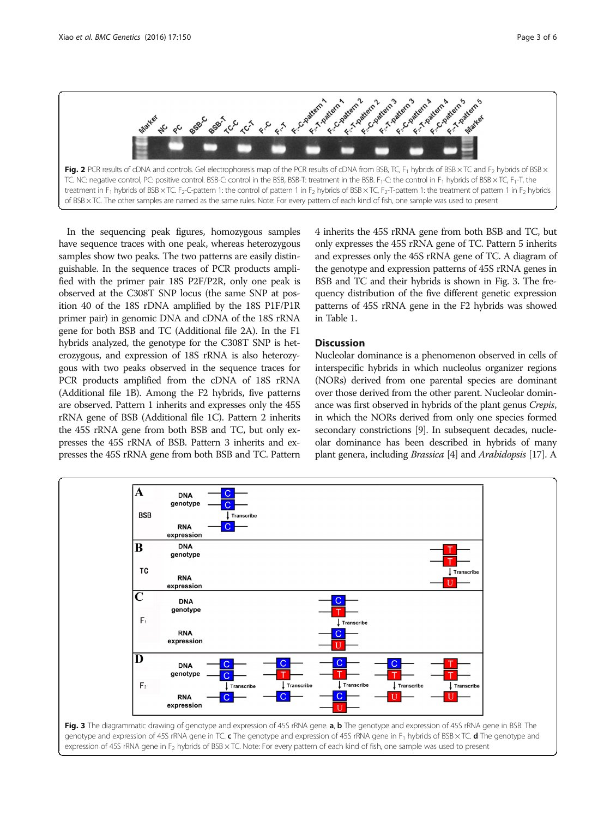<span id="page-2-0"></span>

In the sequencing peak figures, homozygous samples have sequence traces with one peak, whereas heterozygous samples show two peaks. The two patterns are easily distinguishable. In the sequence traces of PCR products amplified with the primer pair 18S P2F/P2R, only one peak is observed at the C308T SNP locus (the same SNP at position 40 of the 18S rDNA amplified by the 18S P1F/P1R primer pair) in genomic DNA and cDNA of the 18S rRNA gene for both BSB and TC (Additional file [2](#page-4-0)A). In the F1 hybrids analyzed, the genotype for the C308T SNP is heterozygous, and expression of 18S rRNA is also heterozygous with two peaks observed in the sequence traces for PCR products amplified from the cDNA of 18S rRNA (Additional file [1](#page-4-0)B). Among the F2 hybrids, five patterns are observed. Pattern 1 inherits and expresses only the 45S rRNA gene of BSB (Additional file [1](#page-4-0)C). Pattern 2 inherits the 45S rRNA gene from both BSB and TC, but only expresses the 45S rRNA of BSB. Pattern 3 inherits and expresses the 45S rRNA gene from both BSB and TC. Pattern 4 inherits the 45S rRNA gene from both BSB and TC, but only expresses the 45S rRNA gene of TC. Pattern 5 inherits and expresses only the 45S rRNA gene of TC. A diagram of the genotype and expression patterns of 45S rRNA genes in BSB and TC and their hybrids is shown in Fig. 3. The frequency distribution of the five different genetic expression patterns of 45S rRNA gene in the F2 hybrids was showed in Table [1](#page-1-0).

## **Discussion**

Nucleolar dominance is a phenomenon observed in cells of interspecific hybrids in which nucleolus organizer regions (NORs) derived from one parental species are dominant over those derived from the other parent. Nucleolar dominance was first observed in hybrids of the plant genus Crepis, in which the NORs derived from only one species formed secondary constrictions [\[9](#page-5-0)]. In subsequent decades, nucleolar dominance has been described in hybrids of many plant genera, including Brassica [\[4](#page-5-0)] and Arabidopsis [\[17\]](#page-5-0). A

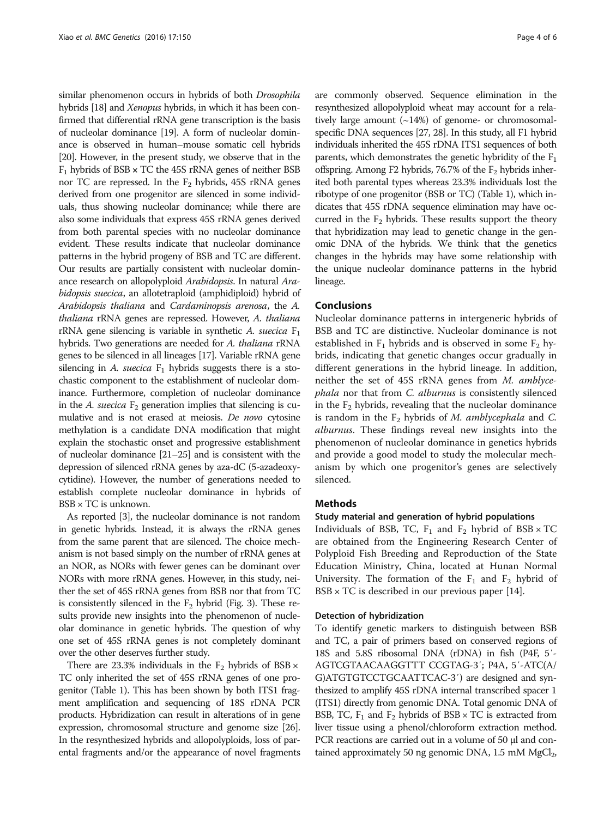similar phenomenon occurs in hybrids of both Drosophila hybrids [\[18](#page-5-0)] and *Xenopus* hybrids, in which it has been confirmed that differential rRNA gene transcription is the basis of nucleolar dominance [\[19\]](#page-5-0). A form of nucleolar dominance is observed in human–mouse somatic cell hybrids [[20](#page-5-0)]. However, in the present study, we observe that in the  $F_1$  hybrids of BSB  $\times$  TC the 45S rRNA genes of neither BSB nor TC are repressed. In the  $F_2$  hybrids, 45S rRNA genes derived from one progenitor are silenced in some individuals, thus showing nucleolar dominance; while there are also some individuals that express 45S rRNA genes derived from both parental species with no nucleolar dominance evident. These results indicate that nucleolar dominance patterns in the hybrid progeny of BSB and TC are different. Our results are partially consistent with nucleolar dominance research on allopolyploid Arabidopsis. In natural Arabidopsis suecica, an allotetraploid (amphidiploid) hybrid of Arabidopsis thaliana and Cardaminopsis arenosa, the A. thaliana rRNA genes are repressed. However, A. thaliana rRNA gene silencing is variable in synthetic A. suecica  $F_1$ hybrids. Two generations are needed for A. thaliana rRNA genes to be silenced in all lineages [\[17](#page-5-0)]. Variable rRNA gene silencing in A. suecica  $F_1$  hybrids suggests there is a stochastic component to the establishment of nucleolar dominance. Furthermore, completion of nucleolar dominance in the A. suecica  $F_2$  generation implies that silencing is cumulative and is not erased at meiosis. De novo cytosine methylation is a candidate DNA modification that might explain the stochastic onset and progressive establishment of nucleolar dominance [\[21](#page-5-0)–[25](#page-5-0)] and is consistent with the depression of silenced rRNA genes by aza-dC (5-azadeoxycytidine). However, the number of generations needed to establish complete nucleolar dominance in hybrids of  $BSB \times TC$  is unknown.

As reported [\[3](#page-5-0)], the nucleolar dominance is not random in genetic hybrids. Instead, it is always the rRNA genes from the same parent that are silenced. The choice mechanism is not based simply on the number of rRNA genes at an NOR, as NORs with fewer genes can be dominant over NORs with more rRNA genes. However, in this study, neither the set of 45S rRNA genes from BSB nor that from TC is consistently silenced in the  $F_2$  hybrid (Fig. [3\)](#page-2-0). These results provide new insights into the phenomenon of nucleolar dominance in genetic hybrids. The question of why one set of 45S rRNA genes is not completely dominant over the other deserves further study.

There are 23.3% individuals in the  $F_2$  hybrids of BSB  $\times$ TC only inherited the set of 45S rRNA genes of one progenitor (Table [1](#page-1-0)). This has been shown by both ITS1 fragment amplification and sequencing of 18S rDNA PCR products. Hybridization can result in alterations of in gene expression, chromosomal structure and genome size [\[26](#page-5-0)]. In the resynthesized hybrids and allopolyploids, loss of parental fragments and/or the appearance of novel fragments are commonly observed. Sequence elimination in the resynthesized allopolyploid wheat may account for a relatively large amount  $(\sim 14\%)$  of genome- or chromosomalspecific DNA sequences [\[27](#page-5-0), [28](#page-5-0)]. In this study, all F1 hybrid individuals inherited the 45S rDNA ITS1 sequences of both parents, which demonstrates the genetic hybridity of the  $F_1$ offspring. Among F2 hybrids, 76.7% of the  $F_2$  hybrids inherited both parental types whereas 23.3% individuals lost the ribotype of one progenitor (BSB or TC) (Table [1\)](#page-1-0), which indicates that 45S rDNA sequence elimination may have occurred in the  $F_2$  hybrids. These results support the theory that hybridization may lead to genetic change in the genomic DNA of the hybrids. We think that the genetics changes in the hybrids may have some relationship with the unique nucleolar dominance patterns in the hybrid lineage.

## Conclusions

Nucleolar dominance patterns in intergeneric hybrids of BSB and TC are distinctive. Nucleolar dominance is not established in  $F_1$  hybrids and is observed in some  $F_2$  hybrids, indicating that genetic changes occur gradually in different generations in the hybrid lineage. In addition, neither the set of 45S rRNA genes from M. amblycephala nor that from C. alburnus is consistently silenced in the  $F<sub>2</sub>$  hybrids, revealing that the nucleolar dominance is random in the  $F_2$  hybrids of M. amblycephala and C. alburnus. These findings reveal new insights into the phenomenon of nucleolar dominance in genetics hybrids and provide a good model to study the molecular mechanism by which one progenitor's genes are selectively silenced.

## Methods

## Study material and generation of hybrid populations

Individuals of BSB, TC,  $F_1$  and  $F_2$  hybrid of BSB  $\times$  TC are obtained from the Engineering Research Center of Polyploid Fish Breeding and Reproduction of the State Education Ministry, China, located at Hunan Normal University. The formation of the  $F_1$  and  $F_2$  hybrid of  $BSB \times TC$  is described in our previous paper [\[14](#page-5-0)].

### Detection of hybridization

To identify genetic markers to distinguish between BSB and TC, a pair of primers based on conserved regions of 18S and 5.8S ribosomal DNA (rDNA) in fish (P4F, 5′- AGTCGTAACAAGGTTT CCGTAG-3′; P4A, 5′-ATC(A/ G)ATGTGTCCTGCAATTCAC-3′) are designed and synthesized to amplify 45S rDNA internal transcribed spacer 1 (ITS1) directly from genomic DNA. Total genomic DNA of BSB, TC,  $F_1$  and  $F_2$  hybrids of BSB  $\times$  TC is extracted from liver tissue using a phenol/chloroform extraction method. PCR reactions are carried out in a volume of 50 μl and contained approximately 50 ng genomic DNA, 1.5 mM MgCl<sub>2</sub>,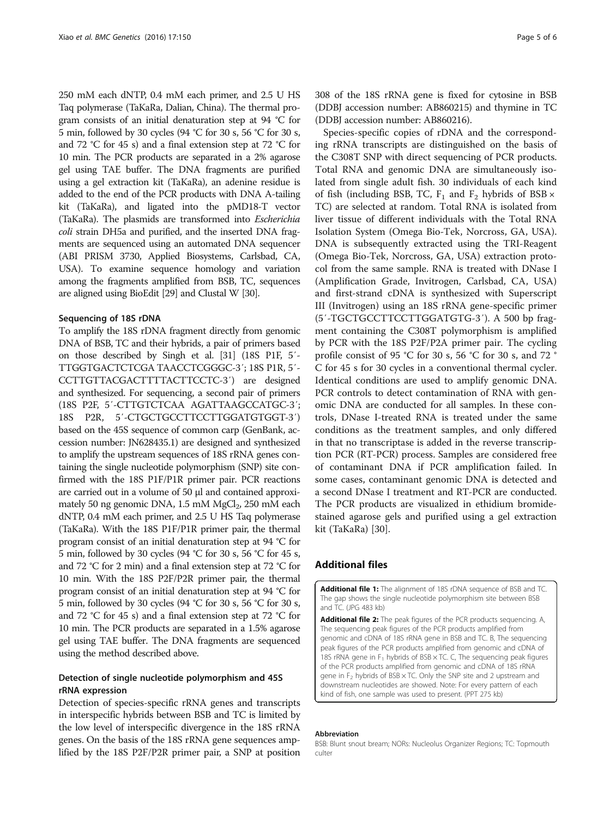<span id="page-4-0"></span>250 mM each dNTP, 0.4 mM each primer, and 2.5 U HS Taq polymerase (TaKaRa, Dalian, China). The thermal program consists of an initial denaturation step at 94 °C for 5 min, followed by 30 cycles (94 °C for 30 s, 56 °C for 30 s, and 72 °C for 45 s) and a final extension step at 72 °C for 10 min. The PCR products are separated in a 2% agarose gel using TAE buffer. The DNA fragments are purified using a gel extraction kit (TaKaRa), an adenine residue is added to the end of the PCR products with DNA A-tailing kit (TaKaRa), and ligated into the pMD18-T vector (TaKaRa). The plasmids are transformed into Escherichia coli strain DH5a and purified, and the inserted DNA fragments are sequenced using an automated DNA sequencer (ABI PRISM 3730, Applied Biosystems, Carlsbad, CA, USA). To examine sequence homology and variation among the fragments amplified from BSB, TC, sequences are aligned using BioEdit [[29\]](#page-5-0) and Clustal W [[30](#page-5-0)].

#### Sequencing of 18S rDNA

To amplify the 18S rDNA fragment directly from genomic DNA of BSB, TC and their hybrids, a pair of primers based on those described by Singh et al. [\[31\]](#page-5-0) (18S P1F, 5′- TTGGTGACTCTCGA TAACCTCGGGC-3′; 18S P1R, 5′- CCTTGTTACGACTTTTACTTCCTC-3′) are designed and synthesized. For sequencing, a second pair of primers (18S P2F, 5′-CTTGTCTCAA AGATTAAGCCATGC-3′; 18S P2R, 5′-CTGCTGCCTTCCTTGGATGTGGT-3′) based on the 45S sequence of common carp (GenBank, accession number: JN628435.1) are designed and synthesized to amplify the upstream sequences of 18S rRNA genes containing the single nucleotide polymorphism (SNP) site confirmed with the 18S P1F/P1R primer pair. PCR reactions are carried out in a volume of 50 μl and contained approximately 50 ng genomic DNA,  $1.5$  mM  $MgCl<sub>2</sub>$ ,  $250$  mM each dNTP, 0.4 mM each primer, and 2.5 U HS Taq polymerase (TaKaRa). With the 18S P1F/P1R primer pair, the thermal program consist of an initial denaturation step at 94 °C for 5 min, followed by 30 cycles (94 °C for 30 s, 56 °C for 45 s, and 72 °C for 2 min) and a final extension step at 72 °C for 10 min. With the 18S P2F/P2R primer pair, the thermal program consist of an initial denaturation step at 94 °C for 5 min, followed by 30 cycles (94 °C for 30 s, 56 °C for 30 s, and 72 °C for 45 s) and a final extension step at 72 °C for 10 min. The PCR products are separated in a 1.5% agarose gel using TAE buffer. The DNA fragments are sequenced using the method described above.

## Detection of single nucleotide polymorphism and 45S rRNA expression

Detection of species-specific rRNA genes and transcripts in interspecific hybrids between BSB and TC is limited by the low level of interspecific divergence in the 18S rRNA genes. On the basis of the 18S rRNA gene sequences amplified by the 18S P2F/P2R primer pair, a SNP at position 308 of the 18S rRNA gene is fixed for cytosine in BSB (DDBJ accession number: AB860215) and thymine in TC (DDBJ accession number: AB860216).

Species-specific copies of rDNA and the corresponding rRNA transcripts are distinguished on the basis of the C308T SNP with direct sequencing of PCR products. Total RNA and genomic DNA are simultaneously isolated from single adult fish. 30 individuals of each kind of fish (including BSB, TC,  $F_1$  and  $F_2$  hybrids of BSB  $\times$ TC) are selected at random. Total RNA is isolated from liver tissue of different individuals with the Total RNA Isolation System (Omega Bio-Tek, Norcross, GA, USA). DNA is subsequently extracted using the TRI-Reagent (Omega Bio-Tek, Norcross, GA, USA) extraction protocol from the same sample. RNA is treated with DNase I (Amplification Grade, Invitrogen, Carlsbad, CA, USA) and first-strand cDNA is synthesized with Superscript III (Invitrogen) using an 18S rRNA gene-specific primer (5′-TGCTGCCTTCCTTGGATGTG-3′). A 500 bp fragment containing the C308T polymorphism is amplified by PCR with the 18S P2F/P2A primer pair. The cycling profile consist of 95 °C for 30 s, 56 °C for 30 s, and 72 ° C for 45 s for 30 cycles in a conventional thermal cycler. Identical conditions are used to amplify genomic DNA. PCR controls to detect contamination of RNA with genomic DNA are conducted for all samples. In these controls, DNase I-treated RNA is treated under the same conditions as the treatment samples, and only differed in that no transcriptase is added in the reverse transcription PCR (RT-PCR) process. Samples are considered free of contaminant DNA if PCR amplification failed. In some cases, contaminant genomic DNA is detected and a second DNase I treatment and RT-PCR are conducted. The PCR products are visualized in ethidium bromidestained agarose gels and purified using a gel extraction kit (TaKaRa) [\[30](#page-5-0)].

## Additional files

[Additional file 1:](dx.doi.org/10.1186/s12863-016-0457-3) The alignment of 18S rDNA sequence of BSB and TC. The gap shows the single nucleotide polymorphism site between BSB and TC. (JPG 483 kb)

[Additional file 2:](dx.doi.org/10.1186/s12863-016-0457-3) The peak figures of the PCR products sequencing. A, The sequencing peak figures of the PCR products amplified from genomic and cDNA of 18S rRNA gene in BSB and TC. B, The sequencing peak figures of the PCR products amplified from genomic and cDNA of 18S rRNA gene in  $F_1$  hybrids of BSB  $\times$  TC. C, The sequencing peak figures of the PCR products amplified from genomic and cDNA of 18S rRNA gene in  $F_2$  hybrids of BSB  $\times$  TC. Only the SNP site and 2 upstream and downstream nucleotides are showed. Note: For every pattern of each kind of fish, one sample was used to present. (PPT 275 kb)

#### Abbreviation

BSB: Blunt snout bream; NORs: Nucleolus Organizer Regions; TC: Topmouth culter